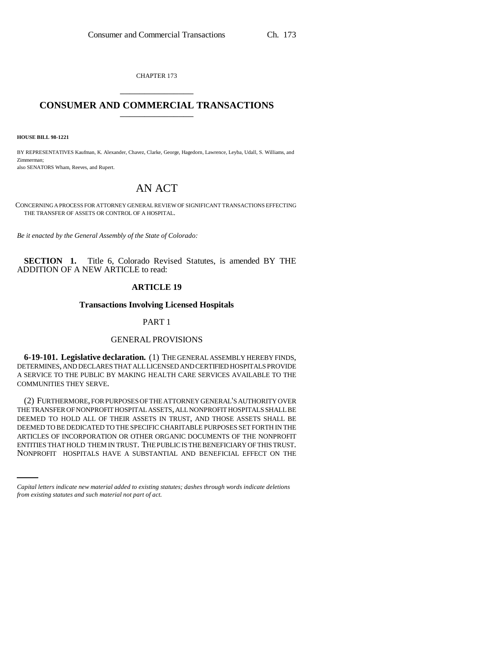CHAPTER 173 \_\_\_\_\_\_\_\_\_\_\_\_\_\_\_

## **CONSUMER AND COMMERCIAL TRANSACTIONS** \_\_\_\_\_\_\_\_\_\_\_\_\_\_\_

**HOUSE BILL 98-1221**

BY REPRESENTATIVES Kaufman, K. Alexander, Chavez, Clarke, George, Hagedorn, Lawrence, Leyba, Udall, S. Williams, and Zimmerman; also SENATORS Wham, Reeves, and Rupert.

# AN ACT

CONCERNING A PROCESS FOR ATTORNEY GENERAL REVIEW OF SIGNIFICANT TRANSACTIONS EFFECTING THE TRANSFER OF ASSETS OR CONTROL OF A HOSPITAL.

*Be it enacted by the General Assembly of the State of Colorado:*

**SECTION 1.** Title 6, Colorado Revised Statutes, is amended BY THE ADDITION OF A NEW ARTICLE to read:

## **ARTICLE 19**

#### **Transactions Involving Licensed Hospitals**

## PART 1

#### GENERAL PROVISIONS

**6-19-101. Legislative declaration.** (1) THE GENERAL ASSEMBLY HEREBY FINDS, DETERMINES, AND DECLARES THAT ALL LICENSED AND CERTIFIED HOSPITALS PROVIDE A SERVICE TO THE PUBLIC BY MAKING HEALTH CARE SERVICES AVAILABLE TO THE COMMUNITIES THEY SERVE.

ARTICLES OF INCORPORATION OR OTHER ORGANIC DOCUMENTS OF THE NONPROFIT (2) FURTHERMORE, FOR PURPOSES OF THE ATTORNEY GENERAL'S AUTHORITY OVER THE TRANSFER OF NONPROFIT HOSPITAL ASSETS, ALL NONPROFIT HOSPITALS SHALL BE DEEMED TO HOLD ALL OF THEIR ASSETS IN TRUST, AND THOSE ASSETS SHALL BE DEEMED TO BE DEDICATED TO THE SPECIFIC CHARITABLE PURPOSES SET FORTH IN THE ENTITIES THAT HOLD THEM IN TRUST. THE PUBLIC IS THE BENEFICIARY OF THIS TRUST. NONPROFIT HOSPITALS HAVE A SUBSTANTIAL AND BENEFICIAL EFFECT ON THE

*Capital letters indicate new material added to existing statutes; dashes through words indicate deletions from existing statutes and such material not part of act.*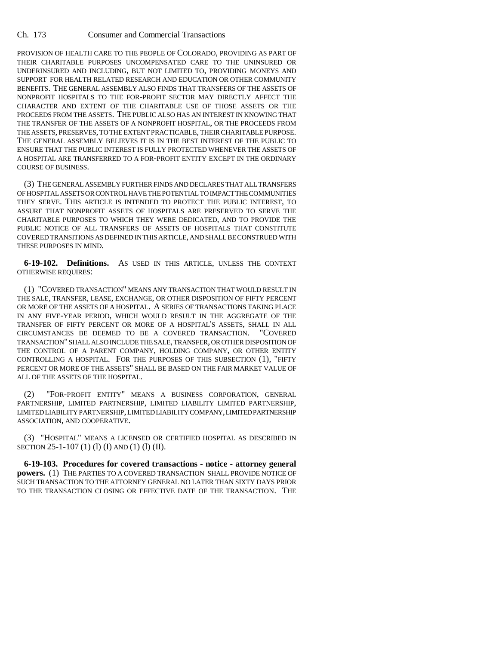PROVISION OF HEALTH CARE TO THE PEOPLE OF COLORADO, PROVIDING AS PART OF THEIR CHARITABLE PURPOSES UNCOMPENSATED CARE TO THE UNINSURED OR UNDERINSURED AND INCLUDING, BUT NOT LIMITED TO, PROVIDING MONEYS AND SUPPORT FOR HEALTH RELATED RESEARCH AND EDUCATION OR OTHER COMMUNITY BENEFITS. THE GENERAL ASSEMBLY ALSO FINDS THAT TRANSFERS OF THE ASSETS OF NONPROFIT HOSPITALS TO THE FOR-PROFIT SECTOR MAY DIRECTLY AFFECT THE CHARACTER AND EXTENT OF THE CHARITABLE USE OF THOSE ASSETS OR THE PROCEEDS FROM THE ASSETS. THE PUBLIC ALSO HAS AN INTEREST IN KNOWING THAT THE TRANSFER OF THE ASSETS OF A NONPROFIT HOSPITAL, OR THE PROCEEDS FROM THE ASSETS, PRESERVES, TO THE EXTENT PRACTICABLE, THEIR CHARITABLE PURPOSE. THE GENERAL ASSEMBLY BELIEVES IT IS IN THE BEST INTEREST OF THE PUBLIC TO ENSURE THAT THE PUBLIC INTEREST IS FULLY PROTECTED WHENEVER THE ASSETS OF A HOSPITAL ARE TRANSFERRED TO A FOR-PROFIT ENTITY EXCEPT IN THE ORDINARY COURSE OF BUSINESS.

(3) THE GENERAL ASSEMBLY FURTHER FINDS AND DECLARES THAT ALL TRANSFERS OF HOSPITAL ASSETS OR CONTROL HAVE THE POTENTIAL TO IMPACT THE COMMUNITIES THEY SERVE. THIS ARTICLE IS INTENDED TO PROTECT THE PUBLIC INTEREST, TO ASSURE THAT NONPROFIT ASSETS OF HOSPITALS ARE PRESERVED TO SERVE THE CHARITABLE PURPOSES TO WHICH THEY WERE DEDICATED, AND TO PROVIDE THE PUBLIC NOTICE OF ALL TRANSFERS OF ASSETS OF HOSPITALS THAT CONSTITUTE COVERED TRANSITIONS AS DEFINED IN THIS ARTICLE, AND SHALL BE CONSTRUED WITH THESE PURPOSES IN MIND.

**6-19-102. Definitions.** AS USED IN THIS ARTICLE, UNLESS THE CONTEXT OTHERWISE REQUIRES:

(1) "COVERED TRANSACTION" MEANS ANY TRANSACTION THAT WOULD RESULT IN THE SALE, TRANSFER, LEASE, EXCHANGE, OR OTHER DISPOSITION OF FIFTY PERCENT OR MORE OF THE ASSETS OF A HOSPITAL. A SERIES OF TRANSACTIONS TAKING PLACE IN ANY FIVE-YEAR PERIOD, WHICH WOULD RESULT IN THE AGGREGATE OF THE TRANSFER OF FIFTY PERCENT OR MORE OF A HOSPITAL'S ASSETS, SHALL IN ALL CIRCUMSTANCES BE DEEMED TO BE A COVERED TRANSACTION. "COVERED TRANSACTION" SHALL ALSO INCLUDE THE SALE, TRANSFER, OR OTHER DISPOSITION OF THE CONTROL OF A PARENT COMPANY, HOLDING COMPANY, OR OTHER ENTITY CONTROLLING A HOSPITAL. FOR THE PURPOSES OF THIS SUBSECTION (1), "FIFTY PERCENT OR MORE OF THE ASSETS" SHALL BE BASED ON THE FAIR MARKET VALUE OF ALL OF THE ASSETS OF THE HOSPITAL.

(2) "FOR-PROFIT ENTITY" MEANS A BUSINESS CORPORATION, GENERAL PARTNERSHIP, LIMITED PARTNERSHIP, LIMITED LIABILITY LIMITED PARTNERSHIP, LIMITED LIABILITY PARTNERSHIP, LIMITED LIABILITY COMPANY, LIMITED PARTNERSHIP ASSOCIATION, AND COOPERATIVE.

(3) "HOSPITAL" MEANS A LICENSED OR CERTIFIED HOSPITAL AS DESCRIBED IN SECTION 25-1-107 (1) (l) (I) AND (1) (l) (II).

**6-19-103. Procedures for covered transactions - notice - attorney general powers.** (1) THE PARTIES TO A COVERED TRANSACTION SHALL PROVIDE NOTICE OF SUCH TRANSACTION TO THE ATTORNEY GENERAL NO LATER THAN SIXTY DAYS PRIOR TO THE TRANSACTION CLOSING OR EFFECTIVE DATE OF THE TRANSACTION. THE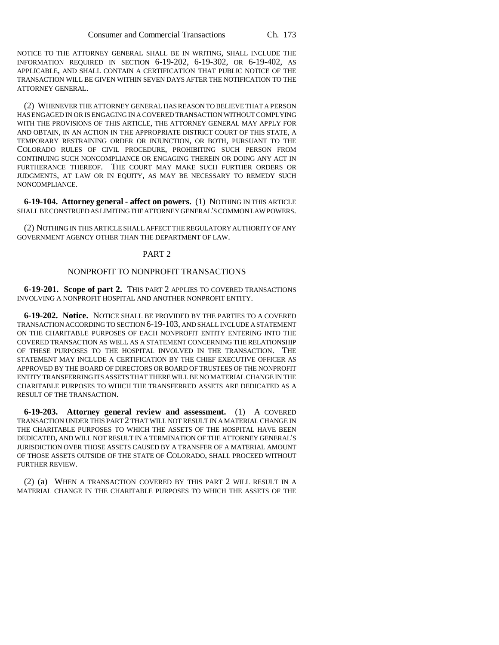NOTICE TO THE ATTORNEY GENERAL SHALL BE IN WRITING, SHALL INCLUDE THE INFORMATION REQUIRED IN SECTION 6-19-202, 6-19-302, OR 6-19-402, AS APPLICABLE, AND SHALL CONTAIN A CERTIFICATION THAT PUBLIC NOTICE OF THE TRANSACTION WILL BE GIVEN WITHIN SEVEN DAYS AFTER THE NOTIFICATION TO THE ATTORNEY GENERAL.

(2) WHENEVER THE ATTORNEY GENERAL HAS REASON TO BELIEVE THAT A PERSON HAS ENGAGED IN OR IS ENGAGING IN A COVERED TRANSACTION WITHOUT COMPLYING WITH THE PROVISIONS OF THIS ARTICLE, THE ATTORNEY GENERAL MAY APPLY FOR AND OBTAIN, IN AN ACTION IN THE APPROPRIATE DISTRICT COURT OF THIS STATE, A TEMPORARY RESTRAINING ORDER OR INJUNCTION, OR BOTH, PURSUANT TO THE COLORADO RULES OF CIVIL PROCEDURE, PROHIBITING SUCH PERSON FROM CONTINUING SUCH NONCOMPLIANCE OR ENGAGING THEREIN OR DOING ANY ACT IN FURTHERANCE THEREOF. THE COURT MAY MAKE SUCH FURTHER ORDERS OR JUDGMENTS, AT LAW OR IN EQUITY, AS MAY BE NECESSARY TO REMEDY SUCH NONCOMPLIANCE.

**6-19-104. Attorney general - affect on powers.** (1) NOTHING IN THIS ARTICLE SHALL BE CONSTRUED AS LIMITING THE ATTORNEY GENERAL'S COMMON LAW POWERS.

(2) NOTHING IN THIS ARTICLE SHALL AFFECT THE REGULATORY AUTHORITY OF ANY GOVERNMENT AGENCY OTHER THAN THE DEPARTMENT OF LAW.

### PART 2

## NONPROFIT TO NONPROFIT TRANSACTIONS

**6-19-201. Scope of part 2.** THIS PART 2 APPLIES TO COVERED TRANSACTIONS INVOLVING A NONPROFIT HOSPITAL AND ANOTHER NONPROFIT ENTITY.

**6-19-202. Notice.** NOTICE SHALL BE PROVIDED BY THE PARTIES TO A COVERED TRANSACTION ACCORDING TO SECTION 6-19-103, AND SHALL INCLUDE A STATEMENT ON THE CHARITABLE PURPOSES OF EACH NONPROFIT ENTITY ENTERING INTO THE COVERED TRANSACTION AS WELL AS A STATEMENT CONCERNING THE RELATIONSHIP OF THESE PURPOSES TO THE HOSPITAL INVOLVED IN THE TRANSACTION. THE STATEMENT MAY INCLUDE A CERTIFICATION BY THE CHIEF EXECUTIVE OFFICER AS APPROVED BY THE BOARD OF DIRECTORS OR BOARD OF TRUSTEES OF THE NONPROFIT ENTITY TRANSFERRING ITS ASSETS THAT THERE WILL BE NO MATERIAL CHANGE IN THE CHARITABLE PURPOSES TO WHICH THE TRANSFERRED ASSETS ARE DEDICATED AS A RESULT OF THE TRANSACTION.

**6-19-203. Attorney general review and assessment.** (1) A COVERED TRANSACTION UNDER THIS PART 2 THAT WILL NOT RESULT IN A MATERIAL CHANGE IN THE CHARITABLE PURPOSES TO WHICH THE ASSETS OF THE HOSPITAL HAVE BEEN DEDICATED, AND WILL NOT RESULT IN A TERMINATION OF THE ATTORNEY GENERAL'S JURISDICTION OVER THOSE ASSETS CAUSED BY A TRANSFER OF A MATERIAL AMOUNT OF THOSE ASSETS OUTSIDE OF THE STATE OF COLORADO, SHALL PROCEED WITHOUT FURTHER REVIEW.

(2) (a) WHEN A TRANSACTION COVERED BY THIS PART 2 WILL RESULT IN A MATERIAL CHANGE IN THE CHARITABLE PURPOSES TO WHICH THE ASSETS OF THE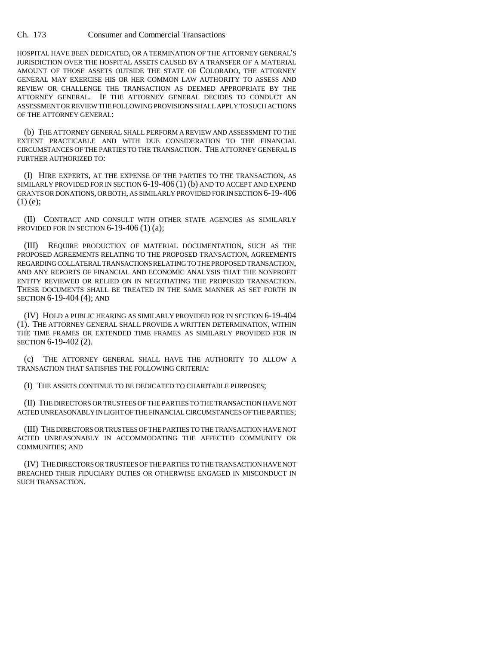#### Ch. 173 Consumer and Commercial Transactions

HOSPITAL HAVE BEEN DEDICATED, OR A TERMINATION OF THE ATTORNEY GENERAL'S JURISDICTION OVER THE HOSPITAL ASSETS CAUSED BY A TRANSFER OF A MATERIAL AMOUNT OF THOSE ASSETS OUTSIDE THE STATE OF COLORADO, THE ATTORNEY GENERAL MAY EXERCISE HIS OR HER COMMON LAW AUTHORITY TO ASSESS AND REVIEW OR CHALLENGE THE TRANSACTION AS DEEMED APPROPRIATE BY THE ATTORNEY GENERAL. IF THE ATTORNEY GENERAL DECIDES TO CONDUCT AN ASSESSMENT OR REVIEW THE FOLLOWING PROVISIONS SHALL APPLY TO SUCH ACTIONS OF THE ATTORNEY GENERAL:

(b) THE ATTORNEY GENERAL SHALL PERFORM A REVIEW AND ASSESSMENT TO THE EXTENT PRACTICABLE AND WITH DUE CONSIDERATION TO THE FINANCIAL CIRCUMSTANCES OF THE PARTIES TO THE TRANSACTION. THE ATTORNEY GENERAL IS FURTHER AUTHORIZED TO:

(I) HIRE EXPERTS, AT THE EXPENSE OF THE PARTIES TO THE TRANSACTION, AS SIMILARLY PROVIDED FOR IN SECTION 6-19-406 (1) (b) AND TO ACCEPT AND EXPEND GRANTS OR DONATIONS, OR BOTH, AS SIMILARLY PROVIDED FOR IN SECTION 6-19-406 (1) (e);

(II) CONTRACT AND CONSULT WITH OTHER STATE AGENCIES AS SIMILARLY PROVIDED FOR IN SECTION 6-19-406 (1) (a);

(III) REQUIRE PRODUCTION OF MATERIAL DOCUMENTATION, SUCH AS THE PROPOSED AGREEMENTS RELATING TO THE PROPOSED TRANSACTION, AGREEMENTS REGARDING COLLATERAL TRANSACTIONS RELATING TO THE PROPOSED TRANSACTION, AND ANY REPORTS OF FINANCIAL AND ECONOMIC ANALYSIS THAT THE NONPROFIT ENTITY REVIEWED OR RELIED ON IN NEGOTIATING THE PROPOSED TRANSACTION. THESE DOCUMENTS SHALL BE TREATED IN THE SAME MANNER AS SET FORTH IN SECTION 6-19-404 (4); AND

(IV) HOLD A PUBLIC HEARING AS SIMILARLY PROVIDED FOR IN SECTION 6-19-404 (1). THE ATTORNEY GENERAL SHALL PROVIDE A WRITTEN DETERMINATION, WITHIN THE TIME FRAMES OR EXTENDED TIME FRAMES AS SIMILARLY PROVIDED FOR IN SECTION 6-19-402 (2).

(c) THE ATTORNEY GENERAL SHALL HAVE THE AUTHORITY TO ALLOW A TRANSACTION THAT SATISFIES THE FOLLOWING CRITERIA:

(I) THE ASSETS CONTINUE TO BE DEDICATED TO CHARITABLE PURPOSES;

(II) THE DIRECTORS OR TRUSTEES OF THE PARTIES TO THE TRANSACTION HAVE NOT ACTED UNREASONABLY IN LIGHT OF THE FINANCIAL CIRCUMSTANCES OF THE PARTIES;

(III) THE DIRECTORS OR TRUSTEES OF THE PARTIES TO THE TRANSACTION HAVE NOT ACTED UNREASONABLY IN ACCOMMODATING THE AFFECTED COMMUNITY OR COMMUNITIES; AND

(IV) THE DIRECTORS OR TRUSTEES OF THE PARTIES TO THE TRANSACTION HAVE NOT BREACHED THEIR FIDUCIARY DUTIES OR OTHERWISE ENGAGED IN MISCONDUCT IN SUCH TRANSACTION.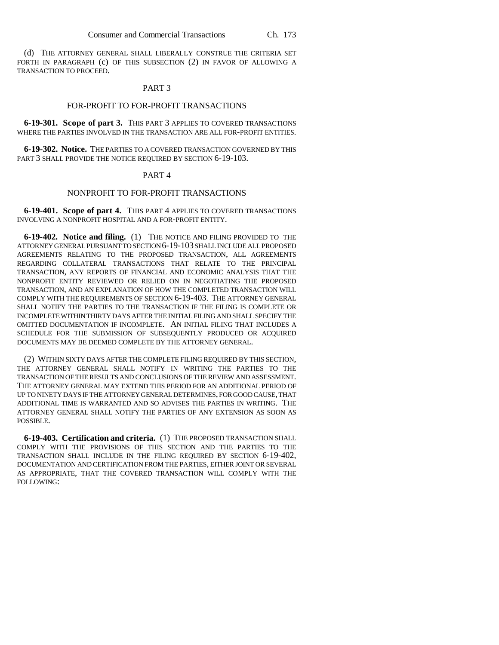(d) THE ATTORNEY GENERAL SHALL LIBERALLY CONSTRUE THE CRITERIA SET FORTH IN PARAGRAPH (c) OF THIS SUBSECTION (2) IN FAVOR OF ALLOWING A TRANSACTION TO PROCEED.

#### PART 3

### FOR-PROFIT TO FOR-PROFIT TRANSACTIONS

**6-19-301. Scope of part 3.** THIS PART 3 APPLIES TO COVERED TRANSACTIONS WHERE THE PARTIES INVOLVED IN THE TRANSACTION ARE ALL FOR-PROFIT ENTITIES.

**6-19-302. Notice.** THE PARTIES TO A COVERED TRANSACTION GOVERNED BY THIS PART 3 SHALL PROVIDE THE NOTICE REQUIRED BY SECTION 6-19-103.

#### PART 4

## NONPROFIT TO FOR-PROFIT TRANSACTIONS

**6-19-401. Scope of part 4.** THIS PART 4 APPLIES TO COVERED TRANSACTIONS INVOLVING A NONPROFIT HOSPITAL AND A FOR-PROFIT ENTITY.

**6-19-402. Notice and filing.** (1) THE NOTICE AND FILING PROVIDED TO THE ATTORNEY GENERAL PURSUANT TO SECTION 6-19-103 SHALL INCLUDE ALL PROPOSED AGREEMENTS RELATING TO THE PROPOSED TRANSACTION, ALL AGREEMENTS REGARDING COLLATERAL TRANSACTIONS THAT RELATE TO THE PRINCIPAL TRANSACTION, ANY REPORTS OF FINANCIAL AND ECONOMIC ANALYSIS THAT THE NONPROFIT ENTITY REVIEWED OR RELIED ON IN NEGOTIATING THE PROPOSED TRANSACTION, AND AN EXPLANATION OF HOW THE COMPLETED TRANSACTION WILL COMPLY WITH THE REQUIREMENTS OF SECTION 6-19-403. THE ATTORNEY GENERAL SHALL NOTIFY THE PARTIES TO THE TRANSACTION IF THE FILING IS COMPLETE OR INCOMPLETE WITHIN THIRTY DAYS AFTER THE INITIAL FILING AND SHALL SPECIFY THE OMITTED DOCUMENTATION IF INCOMPLETE. AN INITIAL FILING THAT INCLUDES A SCHEDULE FOR THE SUBMISSION OF SUBSEQUENTLY PRODUCED OR ACQUIRED DOCUMENTS MAY BE DEEMED COMPLETE BY THE ATTORNEY GENERAL.

(2) WITHIN SIXTY DAYS AFTER THE COMPLETE FILING REQUIRED BY THIS SECTION, THE ATTORNEY GENERAL SHALL NOTIFY IN WRITING THE PARTIES TO THE TRANSACTION OF THE RESULTS AND CONCLUSIONS OF THE REVIEW AND ASSESSMENT. THE ATTORNEY GENERAL MAY EXTEND THIS PERIOD FOR AN ADDITIONAL PERIOD OF UP TO NINETY DAYS IF THE ATTORNEY GENERAL DETERMINES, FOR GOOD CAUSE, THAT ADDITIONAL TIME IS WARRANTED AND SO ADVISES THE PARTIES IN WRITING. THE ATTORNEY GENERAL SHALL NOTIFY THE PARTIES OF ANY EXTENSION AS SOON AS POSSIBLE.

**6-19-403. Certification and criteria.** (1) THE PROPOSED TRANSACTION SHALL COMPLY WITH THE PROVISIONS OF THIS SECTION AND THE PARTIES TO THE TRANSACTION SHALL INCLUDE IN THE FILING REQUIRED BY SECTION 6-19-402, DOCUMENTATION AND CERTIFICATION FROM THE PARTIES, EITHER JOINT OR SEVERAL AS APPROPRIATE, THAT THE COVERED TRANSACTION WILL COMPLY WITH THE FOLLOWING: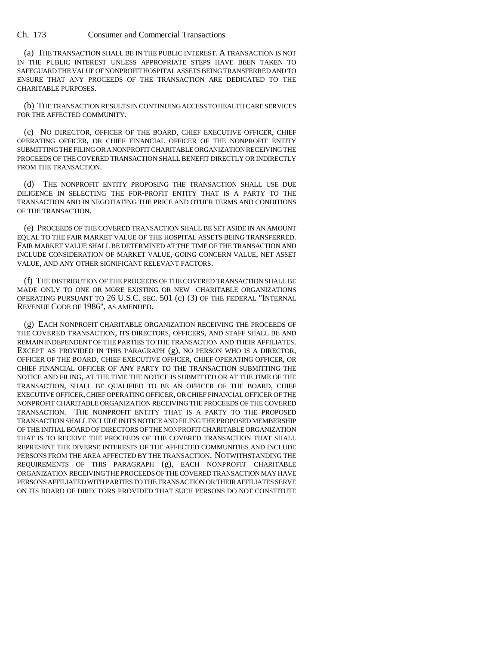Ch. 173 Consumer and Commercial Transactions

(a) THE TRANSACTION SHALL BE IN THE PUBLIC INTEREST. A TRANSACTION IS NOT IN THE PUBLIC INTEREST UNLESS APPROPRIATE STEPS HAVE BEEN TAKEN TO SAFEGUARD THE VALUE OF NONPROFIT HOSPITAL ASSETS BEING TRANSFERRED AND TO ENSURE THAT ANY PROCEEDS OF THE TRANSACTION ARE DEDICATED TO THE CHARITABLE PURPOSES.

(b) THE TRANSACTION RESULTS IN CONTINUING ACCESS TO HEALTH CARE SERVICES FOR THE AFFECTED COMMUNITY.

(c) NO DIRECTOR, OFFICER OF THE BOARD, CHIEF EXECUTIVE OFFICER, CHIEF OPERATING OFFICER, OR CHIEF FINANCIAL OFFICER OF THE NONPROFIT ENTITY SUBMITTING THE FILING OR A NONPROFIT CHARITABLE ORGANIZATION RECEIVING THE PROCEEDS OF THE COVERED TRANSACTION SHALL BENEFIT DIRECTLY OR INDIRECTLY FROM THE TRANSACTION.

(d) THE NONPROFIT ENTITY PROPOSING THE TRANSACTION SHALL USE DUE DILIGENCE IN SELECTING THE FOR-PROFIT ENTITY THAT IS A PARTY TO THE TRANSACTION AND IN NEGOTIATING THE PRICE AND OTHER TERMS AND CONDITIONS OF THE TRANSACTION.

(e) PROCEEDS OF THE COVERED TRANSACTION SHALL BE SET ASIDE IN AN AMOUNT EQUAL TO THE FAIR MARKET VALUE OF THE HOSPITAL ASSETS BEING TRANSFERRED. FAIR MARKET VALUE SHALL BE DETERMINED AT THE TIME OF THE TRANSACTION AND INCLUDE CONSIDERATION OF MARKET VALUE, GOING CONCERN VALUE, NET ASSET VALUE, AND ANY OTHER SIGNIFICANT RELEVANT FACTORS.

(f) THE DISTRIBUTION OF THE PROCEEDS OF THE COVERED TRANSACTION SHALL BE MADE ONLY TO ONE OR MORE EXISTING OR NEW CHARITABLE ORGANIZATIONS OPERATING PURSUANT TO 26 U.S.C. SEC. 501 (c) (3) OF THE FEDERAL "INTERNAL REVENUE CODE OF 1986", AS AMENDED.

(g) EACH NONPROFIT CHARITABLE ORGANIZATION RECEIVING THE PROCEEDS OF THE COVERED TRANSACTION, ITS DIRECTORS, OFFICERS, AND STAFF SHALL BE AND REMAIN INDEPENDENT OF THE PARTIES TO THE TRANSACTION AND THEIR AFFILIATES. EXCEPT AS PROVIDED IN THIS PARAGRAPH (g), NO PERSON WHO IS A DIRECTOR, OFFICER OF THE BOARD, CHIEF EXECUTIVE OFFICER, CHIEF OPERATING OFFICER, OR CHIEF FINANCIAL OFFICER OF ANY PARTY TO THE TRANSACTION SUBMITTING THE NOTICE AND FILING, AT THE TIME THE NOTICE IS SUBMITTED OR AT THE TIME OF THE TRANSACTION, SHALL BE QUALIFIED TO BE AN OFFICER OF THE BOARD, CHIEF EXECUTIVE OFFICER, CHIEF OPERATING OFFICER, OR CHIEF FINANCIAL OFFICER OF THE NONPROFIT CHARITABLE ORGANIZATION RECEIVING THE PROCEEDS OF THE COVERED TRANSACTION. THE NONPROFIT ENTITY THAT IS A PARTY TO THE PROPOSED TRANSACTION SHALL INCLUDE IN ITS NOTICE AND FILING THE PROPOSED MEMBERSHIP OF THE INITIAL BOARD OF DIRECTORS OF THE NONPROFIT CHARITABLE ORGANIZATION THAT IS TO RECEIVE THE PROCEEDS OF THE COVERED TRANSACTION THAT SHALL REPRESENT THE DIVERSE INTERESTS OF THE AFFECTED COMMUNITIES AND INCLUDE PERSONS FROM THE AREA AFFECTED BY THE TRANSACTION. NOTWITHSTANDING THE REQUIREMENTS OF THIS PARAGRAPH (g), EACH NONPROFIT CHARITABLE ORGANIZATION RECEIVING THE PROCEEDS OF THE COVERED TRANSACTION MAY HAVE PERSONS AFFILIATED WITH PARTIES TO THE TRANSACTION OR THEIR AFFILIATES SERVE ON ITS BOARD OF DIRECTORS PROVIDED THAT SUCH PERSONS DO NOT CONSTITUTE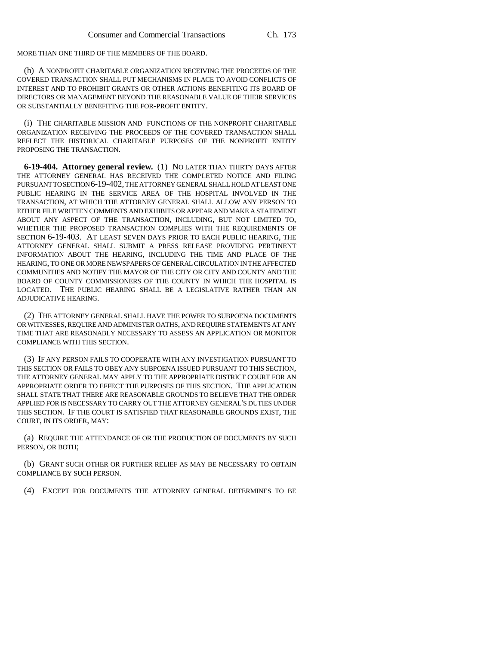MORE THAN ONE THIRD OF THE MEMBERS OF THE BOARD.

(h) A NONPROFIT CHARITABLE ORGANIZATION RECEIVING THE PROCEEDS OF THE COVERED TRANSACTION SHALL PUT MECHANISMS IN PLACE TO AVOID CONFLICTS OF INTEREST AND TO PROHIBIT GRANTS OR OTHER ACTIONS BENEFITING ITS BOARD OF DIRECTORS OR MANAGEMENT BEYOND THE REASONABLE VALUE OF THEIR SERVICES OR SUBSTANTIALLY BENEFITING THE FOR-PROFIT ENTITY.

(i) THE CHARITABLE MISSION AND FUNCTIONS OF THE NONPROFIT CHARITABLE ORGANIZATION RECEIVING THE PROCEEDS OF THE COVERED TRANSACTION SHALL REFLECT THE HISTORICAL CHARITABLE PURPOSES OF THE NONPROFIT ENTITY PROPOSING THE TRANSACTION.

**6-19-404. Attorney general review.** (1) NO LATER THAN THIRTY DAYS AFTER THE ATTORNEY GENERAL HAS RECEIVED THE COMPLETED NOTICE AND FILING PURSUANT TO SECTION 6-19-402, THE ATTORNEY GENERAL SHALL HOLD AT LEAST ONE PUBLIC HEARING IN THE SERVICE AREA OF THE HOSPITAL INVOLVED IN THE TRANSACTION, AT WHICH THE ATTORNEY GENERAL SHALL ALLOW ANY PERSON TO EITHER FILE WRITTEN COMMENTS AND EXHIBITS OR APPEAR AND MAKE A STATEMENT ABOUT ANY ASPECT OF THE TRANSACTION, INCLUDING, BUT NOT LIMITED TO, WHETHER THE PROPOSED TRANSACTION COMPLIES WITH THE REQUIREMENTS OF SECTION 6-19-403. AT LEAST SEVEN DAYS PRIOR TO EACH PUBLIC HEARING, THE ATTORNEY GENERAL SHALL SUBMIT A PRESS RELEASE PROVIDING PERTINENT INFORMATION ABOUT THE HEARING, INCLUDING THE TIME AND PLACE OF THE HEARING, TO ONE OR MORE NEWSPAPERS OF GENERAL CIRCULATION IN THE AFFECTED COMMUNITIES AND NOTIFY THE MAYOR OF THE CITY OR CITY AND COUNTY AND THE BOARD OF COUNTY COMMISSIONERS OF THE COUNTY IN WHICH THE HOSPITAL IS LOCATED. THE PUBLIC HEARING SHALL BE A LEGISLATIVE RATHER THAN AN ADJUDICATIVE HEARING.

(2) THE ATTORNEY GENERAL SHALL HAVE THE POWER TO SUBPOENA DOCUMENTS OR WITNESSES, REQUIRE AND ADMINISTER OATHS, AND REQUIRE STATEMENTS AT ANY TIME THAT ARE REASONABLY NECESSARY TO ASSESS AN APPLICATION OR MONITOR COMPLIANCE WITH THIS SECTION.

(3) IF ANY PERSON FAILS TO COOPERATE WITH ANY INVESTIGATION PURSUANT TO THIS SECTION OR FAILS TO OBEY ANY SUBPOENA ISSUED PURSUANT TO THIS SECTION, THE ATTORNEY GENERAL MAY APPLY TO THE APPROPRIATE DISTRICT COURT FOR AN APPROPRIATE ORDER TO EFFECT THE PURPOSES OF THIS SECTION. THE APPLICATION SHALL STATE THAT THERE ARE REASONABLE GROUNDS TO BELIEVE THAT THE ORDER APPLIED FOR IS NECESSARY TO CARRY OUT THE ATTORNEY GENERAL'S DUTIES UNDER THIS SECTION. IF THE COURT IS SATISFIED THAT REASONABLE GROUNDS EXIST, THE COURT, IN ITS ORDER, MAY:

(a) REQUIRE THE ATTENDANCE OF OR THE PRODUCTION OF DOCUMENTS BY SUCH PERSON, OR BOTH;

(b) GRANT SUCH OTHER OR FURTHER RELIEF AS MAY BE NECESSARY TO OBTAIN COMPLIANCE BY SUCH PERSON.

(4) EXCEPT FOR DOCUMENTS THE ATTORNEY GENERAL DETERMINES TO BE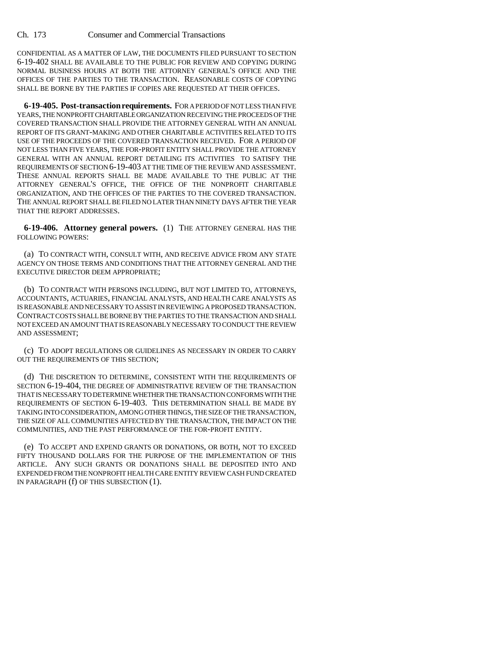CONFIDENTIAL AS A MATTER OF LAW, THE DOCUMENTS FILED PURSUANT TO SECTION 6-19-402 SHALL BE AVAILABLE TO THE PUBLIC FOR REVIEW AND COPYING DURING NORMAL BUSINESS HOURS AT BOTH THE ATTORNEY GENERAL'S OFFICE AND THE OFFICES OF THE PARTIES TO THE TRANSACTION. REASONABLE COSTS OF COPYING SHALL BE BORNE BY THE PARTIES IF COPIES ARE REQUESTED AT THEIR OFFICES.

**6-19-405. Post-transaction requirements.** FOR A PERIOD OF NOT LESS THAN FIVE YEARS, THE NONPROFIT CHARITABLE ORGANIZATION RECEIVING THE PROCEEDS OF THE COVERED TRANSACTION SHALL PROVIDE THE ATTORNEY GENERAL WITH AN ANNUAL REPORT OF ITS GRANT-MAKING AND OTHER CHARITABLE ACTIVITIES RELATED TO ITS USE OF THE PROCEEDS OF THE COVERED TRANSACTION RECEIVED. FOR A PERIOD OF NOT LESS THAN FIVE YEARS, THE FOR-PROFIT ENTITY SHALL PROVIDE THE ATTORNEY GENERAL WITH AN ANNUAL REPORT DETAILING ITS ACTIVITIES TO SATISFY THE REQUIREMENTS OF SECTION 6-19-403 AT THE TIME OF THE REVIEW AND ASSESSMENT. THESE ANNUAL REPORTS SHALL BE MADE AVAILABLE TO THE PUBLIC AT THE ATTORNEY GENERAL'S OFFICE, THE OFFICE OF THE NONPROFIT CHARITABLE ORGANIZATION, AND THE OFFICES OF THE PARTIES TO THE COVERED TRANSACTION. THE ANNUAL REPORT SHALL BE FILED NO LATER THAN NINETY DAYS AFTER THE YEAR THAT THE REPORT ADDRESSES.

**6-19-406. Attorney general powers.** (1) THE ATTORNEY GENERAL HAS THE FOLLOWING POWERS:

(a) TO CONTRACT WITH, CONSULT WITH, AND RECEIVE ADVICE FROM ANY STATE AGENCY ON THOSE TERMS AND CONDITIONS THAT THE ATTORNEY GENERAL AND THE EXECUTIVE DIRECTOR DEEM APPROPRIATE;

(b) TO CONTRACT WITH PERSONS INCLUDING, BUT NOT LIMITED TO, ATTORNEYS, ACCOUNTANTS, ACTUARIES, FINANCIAL ANALYSTS, AND HEALTH CARE ANALYSTS AS IS REASONABLE AND NECESSARY TO ASSIST IN REVIEWING A PROPOSED TRANSACTION. CONTRACT COSTS SHALL BE BORNE BY THE PARTIES TO THE TRANSACTION AND SHALL NOT EXCEED AN AMOUNT THAT IS REASONABLY NECESSARY TO CONDUCT THE REVIEW AND ASSESSMENT;

(c) TO ADOPT REGULATIONS OR GUIDELINES AS NECESSARY IN ORDER TO CARRY OUT THE REQUIREMENTS OF THIS SECTION;

(d) THE DISCRETION TO DETERMINE, CONSISTENT WITH THE REQUIREMENTS OF SECTION 6-19-404, THE DEGREE OF ADMINISTRATIVE REVIEW OF THE TRANSACTION THAT IS NECESSARY TO DETERMINE WHETHER THE TRANSACTION CONFORMS WITH THE REQUIREMENTS OF SECTION 6-19-403. THIS DETERMINATION SHALL BE MADE BY TAKING INTO CONSIDERATION, AMONG OTHER THINGS, THE SIZE OF THE TRANSACTION, THE SIZE OF ALL COMMUNITIES AFFECTED BY THE TRANSACTION, THE IMPACT ON THE COMMUNITIES, AND THE PAST PERFORMANCE OF THE FOR-PROFIT ENTITY.

(e) TO ACCEPT AND EXPEND GRANTS OR DONATIONS, OR BOTH, NOT TO EXCEED FIFTY THOUSAND DOLLARS FOR THE PURPOSE OF THE IMPLEMENTATION OF THIS ARTICLE. ANY SUCH GRANTS OR DONATIONS SHALL BE DEPOSITED INTO AND EXPENDED FROM THE NONPROFIT HEALTH CARE ENTITY REVIEW CASH FUND CREATED IN PARAGRAPH (f) OF THIS SUBSECTION (1).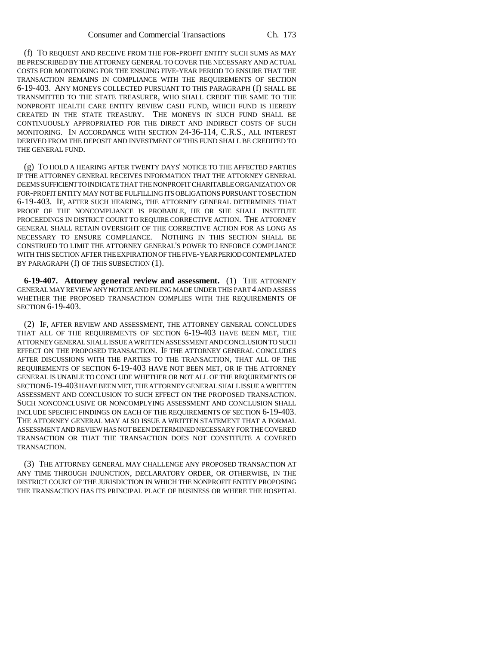(f) TO REQUEST AND RECEIVE FROM THE FOR-PROFIT ENTITY SUCH SUMS AS MAY BE PRESCRIBED BY THE ATTORNEY GENERAL TO COVER THE NECESSARY AND ACTUAL COSTS FOR MONITORING FOR THE ENSUING FIVE-YEAR PERIOD TO ENSURE THAT THE TRANSACTION REMAINS IN COMPLIANCE WITH THE REQUIREMENTS OF SECTION 6-19-403. ANY MONEYS COLLECTED PURSUANT TO THIS PARAGRAPH (f) SHALL BE TRANSMITTED TO THE STATE TREASURER, WHO SHALL CREDIT THE SAME TO THE NONPROFIT HEALTH CARE ENTITY REVIEW CASH FUND, WHICH FUND IS HEREBY CREATED IN THE STATE TREASURY. THE MONEYS IN SUCH FUND SHALL BE CONTINUOUSLY APPROPRIATED FOR THE DIRECT AND INDIRECT COSTS OF SUCH MONITORING. IN ACCORDANCE WITH SECTION 24-36-114, C.R.S., ALL INTEREST DERIVED FROM THE DEPOSIT AND INVESTMENT OF THIS FUND SHALL BE CREDITED TO THE GENERAL FUND.

(g) TO HOLD A HEARING AFTER TWENTY DAYS' NOTICE TO THE AFFECTED PARTIES IF THE ATTORNEY GENERAL RECEIVES INFORMATION THAT THE ATTORNEY GENERAL DEEMS SUFFICIENT TO INDICATE THAT THE NONPROFIT CHARITABLE ORGANIZATION OR FOR-PROFIT ENTITY MAY NOT BE FULFILLING ITS OBLIGATIONS PURSUANT TO SECTION 6-19-403. IF, AFTER SUCH HEARING, THE ATTORNEY GENERAL DETERMINES THAT PROOF OF THE NONCOMPLIANCE IS PROBABLE, HE OR SHE SHALL INSTITUTE PROCEEDINGS IN DISTRICT COURT TO REQUIRE CORRECTIVE ACTION. THE ATTORNEY GENERAL SHALL RETAIN OVERSIGHT OF THE CORRECTIVE ACTION FOR AS LONG AS NECESSARY TO ENSURE COMPLIANCE. NOTHING IN THIS SECTION SHALL BE CONSTRUED TO LIMIT THE ATTORNEY GENERAL'S POWER TO ENFORCE COMPLIANCE WITH THIS SECTION AFTER THE EXPIRATION OF THE FIVE-YEAR PERIOD CONTEMPLATED BY PARAGRAPH (f) OF THIS SUBSECTION (1).

**6-19-407. Attorney general review and assessment.** (1) THE ATTORNEY GENERAL MAY REVIEW ANY NOTICE AND FILING MADE UNDER THIS PART 4 AND ASSESS WHETHER THE PROPOSED TRANSACTION COMPLIES WITH THE REQUIREMENTS OF SECTION 6-19-403.

(2) IF, AFTER REVIEW AND ASSESSMENT, THE ATTORNEY GENERAL CONCLUDES THAT ALL OF THE REQUIREMENTS OF SECTION 6-19-403 HAVE BEEN MET, THE ATTORNEY GENERAL SHALL ISSUE A WRITTEN ASSESSMENT AND CONCLUSION TO SUCH EFFECT ON THE PROPOSED TRANSACTION. IF THE ATTORNEY GENERAL CONCLUDES AFTER DISCUSSIONS WITH THE PARTIES TO THE TRANSACTION, THAT ALL OF THE REQUIREMENTS OF SECTION 6-19-403 HAVE NOT BEEN MET, OR IF THE ATTORNEY GENERAL IS UNABLE TO CONCLUDE WHETHER OR NOT ALL OF THE REQUIREMENTS OF SECTION 6-19-403 HAVE BEEN MET, THE ATTORNEY GENERAL SHALL ISSUE A WRITTEN ASSESSMENT AND CONCLUSION TO SUCH EFFECT ON THE PROPOSED TRANSACTION. SUCH NONCONCLUSIVE OR NONCOMPLYING ASSESSMENT AND CONCLUSION SHALL INCLUDE SPECIFIC FINDINGS ON EACH OF THE REQUIREMENTS OF SECTION 6-19-403. THE ATTORNEY GENERAL MAY ALSO ISSUE A WRITTEN STATEMENT THAT A FORMAL ASSESSMENT AND REVIEW HAS NOT BEEN DETERMINED NECESSARY FOR THE COVERED TRANSACTION OR THAT THE TRANSACTION DOES NOT CONSTITUTE A COVERED TRANSACTION.

(3) THE ATTORNEY GENERAL MAY CHALLENGE ANY PROPOSED TRANSACTION AT ANY TIME THROUGH INJUNCTION, DECLARATORY ORDER, OR OTHERWISE, IN THE DISTRICT COURT OF THE JURISDICTION IN WHICH THE NONPROFIT ENTITY PROPOSING THE TRANSACTION HAS ITS PRINCIPAL PLACE OF BUSINESS OR WHERE THE HOSPITAL